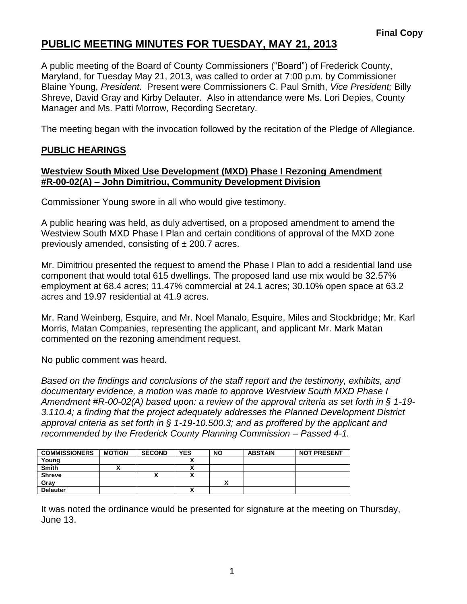## **PUBLIC MEETING MINUTES FOR TUESDAY, MAY 21, 2013**

A public meeting of the Board of County Commissioners ("Board") of Frederick County, Maryland, for Tuesday May 21, 2013, was called to order at 7:00 p.m. by Commissioner Blaine Young, *President*. Present were Commissioners C. Paul Smith, *Vice President;* Billy Shreve, David Gray and Kirby Delauter. Also in attendance were Ms. Lori Depies, County Manager and Ms. Patti Morrow, Recording Secretary.

The meeting began with the invocation followed by the recitation of the Pledge of Allegiance.

#### **PUBLIC HEARINGS**

#### **Westview South Mixed Use Development (MXD) Phase I Rezoning Amendment #R-00-02(A) – John Dimitriou, Community Development Division**

Commissioner Young swore in all who would give testimony.

A public hearing was held, as duly advertised, on a proposed amendment to amend the Westview South MXD Phase I Plan and certain conditions of approval of the MXD zone previously amended, consisting of  $\pm$  200.7 acres.

Mr. Dimitriou presented the request to amend the Phase I Plan to add a residential land use component that would total 615 dwellings. The proposed land use mix would be 32.57% employment at 68.4 acres; 11.47% commercial at 24.1 acres; 30.10% open space at 63.2 acres and 19.97 residential at 41.9 acres.

Mr. Rand Weinberg, Esquire, and Mr. Noel Manalo, Esquire, Miles and Stockbridge; Mr. Karl Morris, Matan Companies, representing the applicant, and applicant Mr. Mark Matan commented on the rezoning amendment request.

No public comment was heard.

*Based on the findings and conclusions of the staff report and the testimony, exhibits, and documentary evidence, a motion was made to approve Westview South MXD Phase I Amendment #R-00-02(A) based upon: a review of the approval criteria as set forth in § 1-19- 3.110.4; a finding that the project adequately addresses the Planned Development District approval criteria as set forth in § 1-19-10.500.3; and as proffered by the applicant and recommended by the Frederick County Planning Commission – Passed 4-1.*

| <b>COMMISSIONERS</b> | <b>MOTION</b> | <b>SECOND</b> | <b>YES</b>               | <b>NO</b> | <b>ABSTAIN</b> | <b>NOT PRESENT</b> |
|----------------------|---------------|---------------|--------------------------|-----------|----------------|--------------------|
| Young                |               |               |                          |           |                |                    |
| <b>Smith</b>         |               |               | $\mathbf{v}$             |           |                |                    |
| <b>Shreve</b>        |               | ↗             |                          |           |                |                    |
| Gray                 |               |               |                          |           |                |                    |
| <b>Delauter</b>      |               |               | $\overline{\phantom{a}}$ |           |                |                    |

It was noted the ordinance would be presented for signature at the meeting on Thursday, June 13.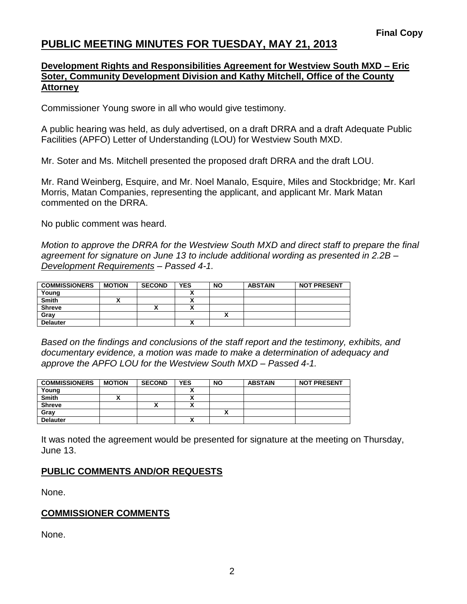## **PUBLIC MEETING MINUTES FOR TUESDAY, MAY 21, 2013**

#### **Development Rights and Responsibilities Agreement for Westview South MXD – Eric Soter, Community Development Division and Kathy Mitchell, Office of the County Attorney**

Commissioner Young swore in all who would give testimony.

A public hearing was held, as duly advertised, on a draft DRRA and a draft Adequate Public Facilities (APFO) Letter of Understanding (LOU) for Westview South MXD.

Mr. Soter and Ms. Mitchell presented the proposed draft DRRA and the draft LOU.

Mr. Rand Weinberg, Esquire, and Mr. Noel Manalo, Esquire, Miles and Stockbridge; Mr. Karl Morris, Matan Companies, representing the applicant, and applicant Mr. Mark Matan commented on the DRRA.

No public comment was heard.

*Motion to approve the DRRA for the Westview South MXD and direct staff to prepare the final agreement for signature on June 13 to include additional wording as presented in 2.2B – Development Requirements – Passed 4-1.*

| <b>COMMISSIONERS</b> | <b>MOTION</b> | <b>SECOND</b> | <b>YES</b> | <b>NO</b> | <b>ABSTAIN</b> | <b>NOT PRESENT</b> |
|----------------------|---------------|---------------|------------|-----------|----------------|--------------------|
| Young                |               |               |            |           |                |                    |
| <b>Smith</b>         |               |               |            |           |                |                    |
| <b>Shreve</b>        |               |               | v          |           |                |                    |
| Gray                 |               |               |            |           |                |                    |
| <b>Delauter</b>      |               |               |            |           |                |                    |

*Based on the findings and conclusions of the staff report and the testimony, exhibits, and documentary evidence, a motion was made to make a determination of adequacy and approve the APFO LOU for the Westview South MXD – Passed 4-1.*

| <b>COMMISSIONERS</b> | <b>MOTION</b> | <b>SECOND</b> | <b>YES</b> | <b>NO</b> | <b>ABSTAIN</b> | <b>NOT PRESENT</b> |
|----------------------|---------------|---------------|------------|-----------|----------------|--------------------|
| Young                |               |               |            |           |                |                    |
| <b>Smith</b>         |               |               |            |           |                |                    |
| <b>Shreve</b>        |               |               |            |           |                |                    |
| Gray                 |               |               |            |           |                |                    |
| <b>Delauter</b>      |               |               |            |           |                |                    |

It was noted the agreement would be presented for signature at the meeting on Thursday, June 13.

#### **PUBLIC COMMENTS AND/OR REQUESTS**

None.

#### **COMMISSIONER COMMENTS**

None.